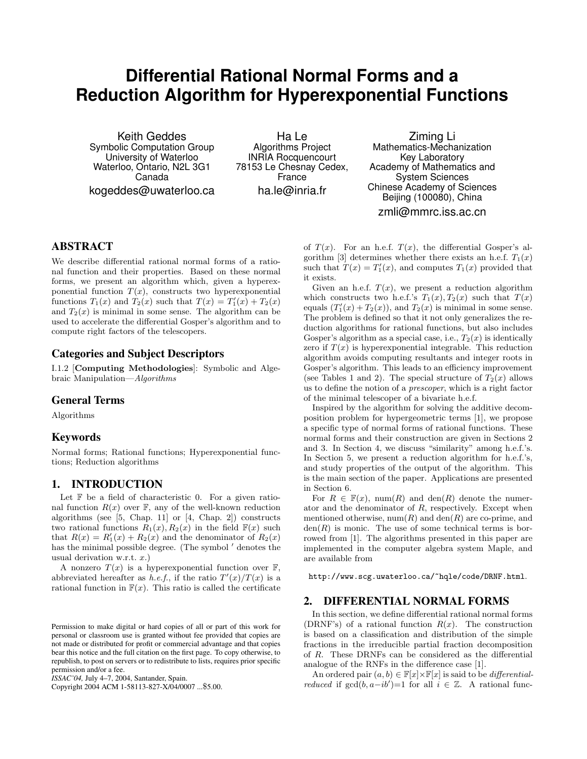# **Differential Rational Normal Forms and a Reduction Algorithm for Hyperexponential Functions**

Keith Geddes Symbolic Computation Group University of Waterloo Waterloo, Ontario, N2L 3G1 Canada kogeddes@uwaterloo.ca

Ha Le Algorithms Project INRIA Rocquencourt 78153 Le Chesnay Cedex, France ha.le@inria.fr

Ziming Li Mathematics-Mechanization Key Laboratory Academy of Mathematics and System Sciences Chinese Academy of Sciences Beijing (100080), China zmli@mmrc.iss.ac.cn

# **ABSTRACT**

We describe differential rational normal forms of a rational function and their properties. Based on these normal forms, we present an algorithm which, given a hyperexponential function  $T(x)$ , constructs two hyperexponential functions  $T_1(x)$  and  $T_2(x)$  such that  $T(x) = T'_1(x) + T_2(x)$ and  $T_2(x)$  is minimal in some sense. The algorithm can be used to accelerate the differential Gosper's algorithm and to compute right factors of the telescopers.

### **Categories and Subject Descriptors**

I.1.2 [Computing Methodologies]: Symbolic and Algebraic Manipulation—Algorithms

# **General Terms**

Algorithms

#### **Keywords**

Normal forms; Rational functions; Hyperexponential functions; Reduction algorithms

# **1. INTRODUCTION**

Let  $\mathbb F$  be a field of characteristic 0. For a given rational function  $R(x)$  over  $\mathbb{F}$ , any of the well-known reduction algorithms (see [5, Chap. 11] or [4, Chap. 2]) constructs two rational functions  $R_1(x)$ ,  $R_2(x)$  in the field  $\mathbb{F}(x)$  such that  $R(x) = R'_1(x) + R_2(x)$  and the denominator of  $R_2(x)$ has the minimal possible degree. (The symbol  $\prime$  denotes the usual derivation w.r.t.  $x$ .)

A nonzero  $T(x)$  is a hyperexponential function over  $\mathbb{F}$ , abbreviated hereafter as *h.e.f.*, if the ratio  $T'(x)/T(x)$  is a rational function in  $F(x)$ . This ratio is called the certificate

Copyright 2004 ACM 1-58113-827-X/04/0007 ...\$5.00.

of  $T(x)$ . For an h.e.f.  $T(x)$ , the differential Gosper's algorithm [3] determines whether there exists an h.e.f.  $T_1(x)$ such that  $T(x) = T'_1(x)$ , and computes  $T_1(x)$  provided that it exists.

Given an h.e.f.  $T(x)$ , we present a reduction algorithm which constructs two h.e.f.'s  $T_1(x)$ ,  $T_2(x)$  such that  $T(x)$ equals  $(T_1'(x) + T_2(x))$ , and  $T_2(x)$  is minimal in some sense. The problem is defined so that it not only generalizes the reduction algorithms for rational functions, but also includes Gosper's algorithm as a special case, i.e.,  $T_2(x)$  is identically zero if  $T(x)$  is hyperexponential integrable. This reduction algorithm avoids computing resultants and integer roots in Gosper's algorithm. This leads to an efficiency improvement (see Tables 1 and 2). The special structure of  $T_2(x)$  allows us to define the notion of a prescoper, which is a right factor of the minimal telescoper of a bivariate h.e.f.

Inspired by the algorithm for solving the additive decomposition problem for hypergeometric terms [1], we propose a specific type of normal forms of rational functions. These normal forms and their construction are given in Sections 2 and 3. In Section 4, we discuss "similarity" among h.e.f.'s. In Section 5, we present a reduction algorithm for h.e.f.'s, and study properties of the output of the algorithm. This is the main section of the paper. Applications are presented in Section 6.

For  $R \in \mathbb{F}(x)$ , num(R) and den(R) denote the numerator and the denominator of  $R$ , respectively. Except when mentioned otherwise,  $\text{num}(R)$  and  $\text{den}(R)$  are co-prime, and  $den(R)$  is monic. The use of some technical terms is borrowed from [1]. The algorithms presented in this paper are implemented in the computer algebra system Maple, and are available from

http://www.scg.uwaterloo.ca/~hqle/code/DRNF.html.

#### **2. DIFFERENTIAL NORMAL FORMS**

In this section, we define differential rational normal forms (DRNF's) of a rational function  $R(x)$ . The construction is based on a classification and distribution of the simple fractions in the irreducible partial fraction decomposition of R. These DRNFs can be considered as the differential analogue of the RNFs in the difference case [1].

An ordered pair  $(a, b) \in \mathbb{F}[x] \times \mathbb{F}[x]$  is said to be *differentialreduced* if  $gcd(b, a - ib') = 1$  for all  $i \in \mathbb{Z}$ . A rational func-

Permission to make digital or hard copies of all or part of this work for personal or classroom use is granted without fee provided that copies are not made or distributed for profit or commercial advantage and that copies bear this notice and the full citation on the first page. To copy otherwise, to republish, to post on servers or to redistribute to lists, requires prior specific permission and/or a fee.

*ISSAC'04,* July 4–7, 2004, Santander, Spain.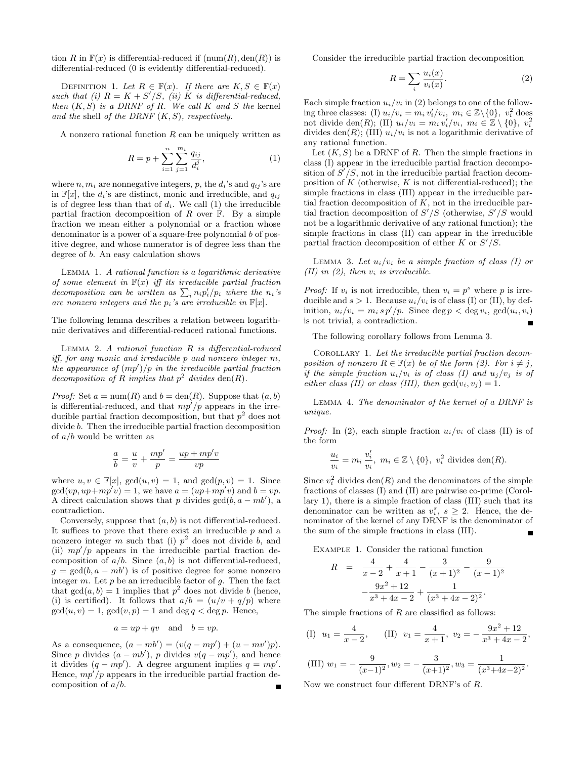tion R in  $F(x)$  is differential-reduced if  $(num(R), den(R))$  is differential-reduced (0 is evidently differential-reduced).

DEFINITION 1. Let  $R \in \mathbb{F}(x)$ . If there are  $K, S \in \mathbb{F}(x)$ such that (i)  $R = K + S'/S$ , (ii) K is differential-reduced, then  $(K, S)$  is a DRNF of R. We call K and S the kernel and the shell of the DRNF  $(K, S)$ , respectively.

A nonzero rational function  $R$  can be uniquely written as

$$
R = p + \sum_{i=1}^{n} \sum_{j=1}^{m_i} \frac{q_{ij}}{d_i^j},
$$
\n(1)

where  $n, m_i$  are nonnegative integers, p, the  $d_i$ 's and  $q_{ij}$ 's are in  $\mathbb{F}[x]$ , the  $d_i$ 's are distinct, monic and irreducible, and  $q_{ij}$ is of degree less than that of  $d_i$ . We call (1) the irreducible partial fraction decomposition of  $R$  over  $\mathbb{F}$ . By a simple fraction we mean either a polynomial or a fraction whose denominator is a power of a square-free polynomial b of positive degree, and whose numerator is of degree less than the degree of b. An easy calculation shows

Lemma 1. A rational function is a logarithmic derivative of some element in  $F(x)$  iff its irreducible partial fraction decomposition can be written as  $\sum_i n_i p_i'/p_i$  where the n<sub>i</sub>'s are nonzero integers and the  $p_i$ 's are irreducible in  $\mathbb{F}[x]$ .

The following lemma describes a relation between logarithmic derivatives and differential-reduced rational functions.

LEMMA 2.  $A$  rational function  $R$  is differential-reduced iff, for any monic and irreducible p and nonzero integer m, the appearance of  $(mp')/p$  in the irreducible partial fraction decomposition of R implies that  $p^2$  divides den(R).

*Proof:* Set  $a = \text{num}(R)$  and  $b = \text{den}(R)$ . Suppose that  $(a, b)$ is differential-reduced, and that  $mp'/p$  appears in the irreducible partial fraction decomposition, but that  $p^2$  does not divide b. Then the irreducible partial fraction decomposition of  $a/b$  would be written as

$$
\frac{a}{b} = \frac{u}{v} + \frac{mp'}{p} = \frac{up + mp'v}{vp}
$$

where  $u, v \in \mathbb{F}[x]$ ,  $gcd(u, v) = 1$ , and  $gcd(p, v) = 1$ . Since  $gcd(vp, up + mp'v) = 1$ , we have  $a = (up + mp'v)$  and  $b = vp$ . A direct calculation shows that p divides  $gcd(b, a - mb')$ , a contradiction.

Conversely, suppose that  $(a, b)$  is not differential-reduced. It suffices to prove that there exist an irreducible  $p$  and a nonzero integer m such that (i)  $p^2$  does not divide b, and (ii)  $mp'/p$  appears in the irreducible partial fraction decomposition of  $a/b$ . Since  $(a, b)$  is not differential-reduced,  $g = \gcd(b, a - mb')$  is of positive degree for some nonzero integer  $m$ . Let  $p$  be an irreducible factor of  $q$ . Then the fact that  $gcd(a, b) = 1$  implies that  $p<sup>2</sup>$  does not divide b (hence, (i) is certified). It follows that  $a/b = (u/v + q/p)$  where  $gcd(u, v) = 1, gcd(v, p) = 1$  and  $deg q < deg p$ . Hence,

$$
a = up + qv
$$
 and  $b = vp$ .

As a consequence,  $(a - mb') = (v(q - mp') + (u - mv')p)$ . Since p divides  $(a - mb')$ , p divides  $v(q - mp')$ , and hence it divides  $(q - mp')$ . A degree argument implies  $q = mp'$ . Hence,  $mp^2/p$  appears in the irreducible partial fraction decomposition of  $a/b$ .

Consider the irreducible partial fraction decomposition

$$
R = \sum_{i} \frac{u_i(x)}{v_i(x)}.\tag{2}
$$

Each simple fraction  $u_i/v_i$  in (2) belongs to one of the following three classes: (I)  $u_i/v_i = m_i v'_i/v_i$ ,  $m_i \in \mathbb{Z}\backslash\{0\}$ ,  $v_i^2$  does not divide  $den(R)$ ; (II)  $u_i/v_i = m_i v'_i/v_i, m_i \in \mathbb{Z} \setminus \{0\}, v_i^2$ divides den(R); (III)  $u_i/v_i$  is not a logarithmic derivative of any rational function.

Let  $(K, S)$  be a DRNF of R. Then the simple fractions in class (I) appear in the irreducible partial fraction decomposition of  $S'/S$ , not in the irreducible partial fraction decomposition of  $K$  (otherwise,  $K$  is not differential-reduced); the simple fractions in class (III) appear in the irreducible partial fraction decomposition of  $K$ , not in the irreducible partial fraction decomposition of  $S'/S$  (otherwise,  $S'/S$  would not be a logarithmic derivative of any rational function); the simple fractions in class (II) can appear in the irreducible partial fraction decomposition of either  $K$  or  $S'/S$ .

LEMMA 3. Let  $u_i/v_i$  be a simple fraction of class (I) or (II) in (2), then  $v_i$  is irreducible.

*Proof:* If  $v_i$  is not irreducible, then  $v_i = p^s$  where p is irreducible and  $s > 1$ . Because  $u_i/v_i$  is of class (I) or (II), by definition,  $u_i/v_i = m_i s p'/p$ . Since  $\deg p < \deg v_i$ ,  $\gcd(u_i, v_i)$ is not trivial, a contradiction. П

The following corollary follows from Lemma 3.

COROLLARY 1. Let the irreducible partial fraction decomposition of nonzero  $R \in \mathbb{F}(x)$  be of the form (2). For  $i \neq j$ , if the simple fraction  $u_i/v_i$  is of class (I) and  $u_j/v_j$  is of either class (II) or class (III), then  $gcd(v_i, v_j) = 1$ .

Lemma 4. The denominator of the kernel of a DRNF is unique.

*Proof:* In (2), each simple fraction  $u_i/v_i$  of class (II) is of the form

$$
\frac{u_i}{v_i} = m_i \frac{v'_i}{v_i}, \ m_i \in \mathbb{Z} \setminus \{0\}, \ v_i^2 \text{ divides } \text{den}(R).
$$

Since  $v_i^2$  divides  $den(R)$  and the denominators of the simple fractions of classes (I) and (II) are pairwise co-prime (Corollary 1), there is a simple fraction of class (III) such that its denominator can be written as  $v_i^s$ ,  $s \geq 2$ . Hence, the denominator of the kernel of any DRNF is the denominator of the sum of the simple fractions in class (III).

Example 1. Consider the rational function

$$
R = \frac{4}{x-2} + \frac{4}{x+1} - \frac{3}{(x+1)^2} - \frac{9}{(x-1)^2}
$$

$$
-\frac{9x^2+12}{x^3+4x-2} + \frac{1}{(x^3+4x-2)^2}.
$$

The simple fractions of  $R$  are classified as follows:

(I) 
$$
u_1 = \frac{4}{x-2}
$$
, (II)  $v_1 = \frac{4}{x+1}$ ,  $v_2 = -\frac{9x^2 + 12}{x^3 + 4x - 2}$ ,

(III) 
$$
w_1 = -\frac{9}{(x-1)^2}, w_2 = -\frac{3}{(x+1)^2}, w_3 = \frac{1}{(x^3+4x-2)^2}.
$$

Now we construct four different DRNF's of R.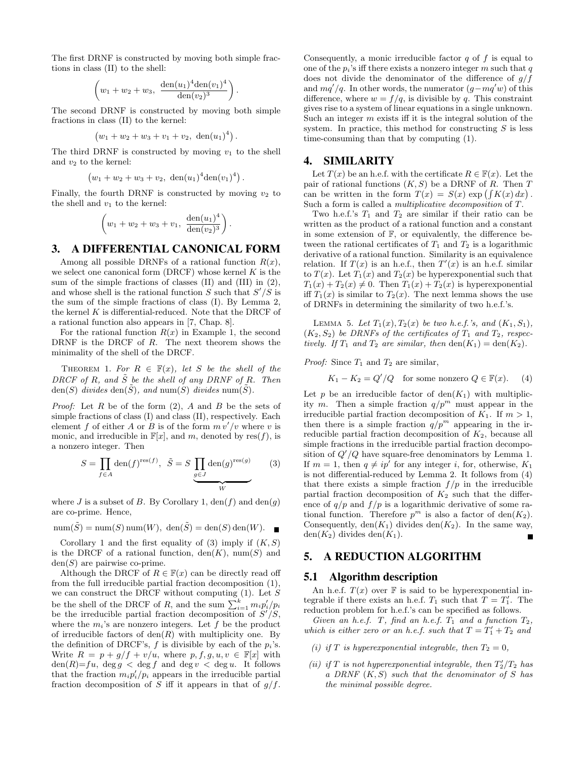The first DRNF is constructed by moving both simple fractions in class (II) to the shell:

$$
\left(w_1+w_2+w_3, \ \frac{\text{den}(u_1)^4 \text{den}(v_1)^4}{\text{den}(v_2)^3}\right).
$$

The second DRNF is constructed by moving both simple fractions in class (II) to the kernel:

$$
(w_1 + w_2 + w_3 + v_1 + v_2, \text{ den}(u_1)^4).
$$

The third DRNF is constructed by moving  $v_1$  to the shell and  $v_2$  to the kernel:

$$
(w_1 + w_2 + w_3 + v_2, \text{ den}(u_1)^4 \text{den}(v_1)^4).
$$

Finally, the fourth DRNF is constructed by moving  $v_2$  to the shell and  $v_1$  to the kernel:

$$
\left(w_1+w_2+w_3+v_1,\ \frac{\text{den}(u_1)^4}{\text{den}(v_2)^3}\right).
$$

# **3. A DIFFERENTIAL CANONICAL FORM**

Among all possible DRNFs of a rational function  $R(x)$ , we select one canonical form  $(DRCF)$  whose kernel  $K$  is the sum of the simple fractions of classes (II) and (III) in (2), and whose shell is the rational function  $S$  such that  $S'/S$  is the sum of the simple fractions of class (I). By Lemma 2, the kernel  $K$  is differential-reduced. Note that the DRCF of a rational function also appears in [7, Chap. 8].

For the rational function  $R(x)$  in Example 1, the second DRNF is the DRCF of R. The next theorem shows the minimality of the shell of the DRCF.

THEOREM 1. For  $R \in \mathbb{F}(x)$ , let S be the shell of the DRCF of R, and  $\tilde{S}$  be the shell of any DRNF of R. Then den(S) divides den( $\tilde{S}$ ), and num(S) divides num( $\tilde{S}$ ).

*Proof:* Let  $R$  be of the form  $(2)$ ,  $A$  and  $B$  be the sets of simple fractions of class (I) and class (II), respectively. Each element f of either A or B is of the form  $m\overline{v'}/v$  where v is monic, and irreducible in  $\mathbb{F}[x]$ , and m, denoted by res(f), is a nonzero integer. Then

$$
S = \prod_{f \in A} \text{den}(f)^{\text{res}(f)}, \quad \tilde{S} = S \underbrace{\prod_{g \in J} \text{den}(g)^{\text{res}(g)}}_{W} \tag{3}
$$

where J is a subset of B. By Corollary 1,  $den(f)$  and  $den(g)$ are co-prime. Hence,

$$
\mathrm{num}(\tilde{S}) = \mathrm{num}(S)\,\mathrm{num}(W),\ \mathrm{den}(\tilde{S}) = \mathrm{den}(S)\,\mathrm{den}(W). \quad \blacksquare
$$

Corollary 1 and the first equality of (3) imply if  $(K, S)$ is the DRCF of a rational function,  $den(K)$ , num(S) and  $den(S)$  are pairwise co-prime.

Although the DRCF of  $R \in \mathbb{F}(x)$  can be directly read off from the full irreducible partial fraction decomposition (1), we can construct the DRCF without computing  $(1)$ . Let S be the shell of the DRCF of  $R$ , and the sum  $\sum_{i=1}^{k} m_i p_i'/p_i$ be the irreducible partial fraction decomposition of  $S'/S$ , where the  $m_i$ 's are nonzero integers. Let f be the product of irreducible factors of  $den(R)$  with multiplicity one. By the definition of DRCF's,  $f$  is divisible by each of the  $p_i$ 's. Write  $R = p + q/f + v/u$ , where  $p, f, g, u, v \in \mathbb{F}[x]$  with  $den(R)=fu, deg g < deg f and deg v < deg u$ . It follows that the fraction  $m_i p_i'/p_i$  appears in the irreducible partial fraction decomposition of S iff it appears in that of  $g/f$ .

Consequently, a monic irreducible factor  $q$  of  $f$  is equal to one of the  $p_i$ 's iff there exists a nonzero integer m such that q does not divide the denominator of the difference of  $q/f$ and  $mq'/q$ . In other words, the numerator  $(g-mq'w)$  of this difference, where  $w = f/q$ , is divisible by q. This constraint gives rise to a system of linear equations in a single unknown. Such an integer  $m$  exists iff it is the integral solution of the system. In practice, this method for constructing  $S$  is less time-consuming than that by computing (1).

#### **4. SIMILARITY**

Let  $T(x)$  be an h.e.f. with the certificate  $R \in \mathbb{F}(x)$ . Let the pair of rational functions  $(K, S)$  be a DRNF of R. Then T can be written in the form  $T(x) = S(x) \exp \left( \int K(x) dx \right)$ . Such a form is called a multiplicative decomposition of T.

Two h.e.f.'s  $T_1$  and  $T_2$  are similar if their ratio can be written as the product of a rational function and a constant in some extension of  $\mathbb{F}$ , or equivalently, the difference between the rational certificates of  $T_1$  and  $T_2$  is a logarithmic derivative of a rational function. Similarity is an equivalence relation. If  $T(x)$  is an h.e.f., then  $T'(x)$  is an h.e.f. similar to  $T(x)$ . Let  $T_1(x)$  and  $T_2(x)$  be hyperexponential such that  $T_1(x) + T_2(x) \neq 0$ . Then  $T_1(x) + T_2(x)$  is hyperexponential iff  $T_1(x)$  is similar to  $T_2(x)$ . The next lemma shows the use of DRNFs in determining the similarity of two h.e.f.'s.

LEMMA 5. Let  $T_1(x), T_2(x)$  be two h.e.f.'s, and  $(K_1, S_1)$ ,  $(K_2, S_2)$  be DRNFs of the certificates of  $T_1$  and  $T_2$ , respectively. If  $T_1$  and  $T_2$  are similar, then  $den(K_1) = den(K_2)$ .

*Proof:* Since  $T_1$  and  $T_2$  are similar,

$$
K_1 - K_2 = Q'/Q \quad \text{for some nonzero } Q \in \mathbb{F}(x). \tag{4}
$$

Let p be an irreducible factor of  $den(K_1)$  with multiplicity m. Then a simple fraction  $q/p^m$  must appear in the irreducible partial fraction decomposition of  $K_1$ . If  $m > 1$ , then there is a simple fraction  $q/p^m$  appearing in the irreducible partial fraction decomposition of  $K_2$ , because all simple fractions in the irreducible partial fraction decomposition of  $Q'/Q$  have square-free denominators by Lemma 1. If  $m = 1$ , then  $q \neq ip^{i}$  for any integer i, for, otherwise,  $K_1$ is not differential-reduced by Lemma 2. It follows from (4) that there exists a simple fraction  $f/p$  in the irreducible partial fraction decomposition of  $K_2$  such that the difference of  $q/p$  and  $f/p$  is a logarithmic derivative of some rational function. Therefore  $p^m$  is also a factor of den( $K_2$ ). Consequently, den( $K_1$ ) divides den( $K_2$ ). In the same way,  $den(K_2)$  divides  $den(K_1)$ .

#### **5. A REDUCTION ALGORITHM**

#### **5.1 Algorithm description**

An h.e.f.  $T(x)$  over  $\mathbb F$  is said to be hyperexponential integrable if there exists an h.e.f.  $T_1$  such that  $T = T_1'$ . The reduction problem for h.e.f.'s can be specified as follows.

Given an h.e.f. T, find an h.e.f.  $T_1$  and a function  $T_2$ , which is either zero or an h.e.f. such that  $T = T_1' + T_2$  and

- (i) if T is hyperexponential integrable, then  $T_2 = 0$ ,
- (ii) if T is not hyperexponential integrable, then  $T_2'/T_2$  has a DRNF  $(K, S)$  such that the denominator of S has the minimal possible degree.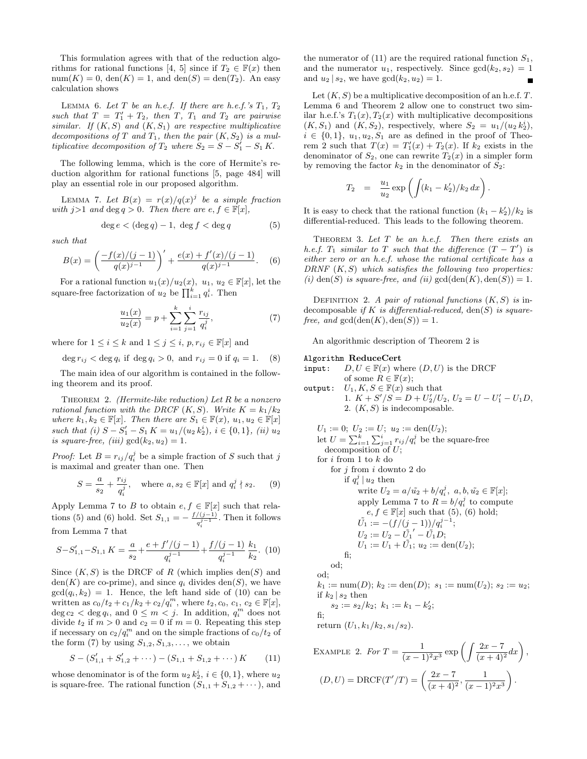This formulation agrees with that of the reduction algorithms for rational functions [4, 5] since if  $T_2 \in \mathbb{F}(x)$  then  $\text{num}(K) = 0$ ,  $\text{den}(K) = 1$ , and  $\text{den}(S) = \text{den}(T_2)$ . An easy calculation shows

LEMMA 6. Let T be an h.e.f. If there are h.e.f.'s  $T_1$ ,  $T_2$ such that  $T = T'_1 + T_2$ , then  $T$ ,  $T_1$  and  $T_2$  are pairwise similar. If  $(K, S)$  and  $(K, S_1)$  are respective multiplicative decompositions of T and  $T_1$ , then the pair  $(K, S_2)$  is a multiplicative decomposition of  $T_2$  where  $S_2 = S - S_1' - S_1 K$ .

The following lemma, which is the core of Hermite's reduction algorithm for rational functions [5, page 484] will play an essential role in our proposed algorithm.

LEMMA 7. Let  $B(x) = r(x)/q(x)^j$  be a simple fraction with  $j>1$  and  $\deg q > 0$ . Then there are  $e, f \in \mathbb{F}[x]$ ,

$$
\deg e < (\deg q) - 1, \; \deg f < \deg q \tag{5}
$$

such that

$$
B(x) = \left(\frac{-f(x)/(j-1)}{q(x)^{j-1}}\right)' + \frac{e(x) + f'(x)/(j-1)}{q(x)^{j-1}}.\tag{6}
$$

For a rational function  $u_1(x)/u_2(x)$ ,  $u_1, u_2 \in \mathbb{F}[x]$ , let the square-free factorization of  $u_2$  be  $\prod_{i=1}^k q_i^i$ . Then

$$
\frac{u_1(x)}{u_2(x)} = p + \sum_{i=1}^{k} \sum_{j=1}^{i} \frac{r_{ij}}{q_i^j},\tag{7}
$$

where for  $1 \leq i \leq k$  and  $1 \leq j \leq i$ ,  $p, r_{ij} \in \mathbb{F}[x]$  and

deg  $r_{ij} <$  deg  $q_i$  if deg  $q_i > 0$ , and  $r_{ij} = 0$  if  $q_i = 1$ . (8)

The main idea of our algorithm is contained in the following theorem and its proof.

THEOREM 2. (Hermite-like reduction) Let  $R$  be a nonzero rational function with the DRCF  $(K, S)$ . Write  $K = k_1/k_2$ where  $k_1, k_2 \in \mathbb{F}[x]$ . Then there are  $S_1 \in \mathbb{F}(x)$ ,  $u_1, u_2 \in \mathbb{F}[x]$ such that (i)  $S - S_1' - S_1 K = u_1/(u_2 \, k_2^i), i \in \{0, 1\},\ (ii) \, u_2$ is square-free, (iii)  $gcd(k_2, u_2) = 1$ .

*Proof:* Let  $B = r_{ij}/q_i^j$  be a simple fraction of S such that j is maximal and greater than one. Then

$$
S = \frac{a}{s_2} + \frac{r_{ij}}{q_i^j}, \text{ where } a, s_2 \in \mathbb{F}[x] \text{ and } q_i^j \nmid s_2. \quad (9)
$$

Apply Lemma 7 to B to obtain  $e, f \in \mathbb{F}[x]$  such that relations (5) and (6) hold. Set  $S_{1,1} = -\frac{f/(j-1)}{j-1}$  $\frac{q_i^{(j-1)}}{q_i^{j-1}}$ . Then it follows from Lemma 7 that

$$
S-S'_{1,1}-S_{1,1} K = \frac{a}{s_2} + \frac{e+f'/(j-1)}{q_i^{j-1}} + \frac{f/(j-1)}{q_i^{j-1}} \frac{k_1}{k_2}.
$$
 (10)

Since  $(K, S)$  is the DRCF of R (which implies den(S) and  $den(K)$  are co-prime), and since  $q_i$  divides  $den(S)$ , we have  $gcd(q_i, k_2) = 1$ . Hence, the left hand side of (10) can be written as  $c_0/t_2 + c_1/k_2 + c_2/q_i^m$ , where  $t_2, c_0, c_1, c_2 \in \mathbb{F}[x]$ ,  $\deg c_2 < \deg q_i$ , and  $0 \leq m < j$ . In addition,  $q_i^m$  does not divide  $t_2$  if  $m > 0$  and  $c_2 = 0$  if  $m = 0$ . Repeating this step if necessary on  $c_2/q_i^m$  and on the simple fractions of  $c_0/t_2$  of the form (7) by using  $S_{1,2}, S_{1,3}, \ldots$ , we obtain

$$
S - (S'_{1,1} + S'_{1,2} + \cdots) - (S_{1,1} + S_{1,2} + \cdots) K \qquad (11)
$$

whose denominator is of the form  $u_2 k_2^i$ ,  $i \in \{0, 1\}$ , where  $u_2$ is square-free. The rational function  $(S_{1,1} + S_{1,2} + \cdots)$ , and the numerator of (11) are the required rational function  $S_1$ , and the numerator  $u_1$ , respectively. Since  $gcd(k_2, s_2) = 1$ and  $u_2 | s_2$ , we have  $gcd(k_2, u_2) = 1$ .

Let  $(K, S)$  be a multiplicative decomposition of an h.e.f. T. Lemma 6 and Theorem 2 allow one to construct two similar h.e.f.'s  $T_1(x)$ ,  $T_2(x)$  with multiplicative decompositions  $(K, S_1)$  and  $(K, S_2)$ , respectively, where  $S_2 = u_1/(u_2 k_2^i)$ ,  $i \in \{0,1\}, u_1, u_2, S_1$  are as defined in the proof of Theorem 2 such that  $T(x) = T'_1(x) + T_2(x)$ . If  $k_2$  exists in the denominator of  $S_2$ , one can rewrite  $T_2(x)$  in a simpler form by removing the factor  $k_2$  in the denominator of  $S_2$ :

$$
T_2 = \frac{u_1}{u_2} \exp \left( \int (k_1 - k'_2) / k_2 \, dx \right).
$$

It is easy to check that the rational function  $(k_1 - k_2')/k_2$  is differential-reduced. This leads to the following theorem.

THEOREM 3. Let  $T$  be an h.e.f. Then there exists an h.e.f.  $T_1$  similar to T such that the difference  $(T - T')$  is either zero or an h.e.f. whose the rational certificate has a DRNF  $(K, S)$  which satisfies the following two properties: (i) den(S) is square-free, and (ii)  $gcd(den(K), den(S)) = 1$ .

DEFINITION 2. A pair of rational functions  $(K, S)$  is indecomposable if K is differential-reduced,  $den(S)$  is squarefree, and  $gcd(den(K), den(S)) = 1$ .

An algorithmic description of Theorem 2 is

#### Algorithm ReduceCert

input:  $D, U \in \mathbb{F}(x)$  where  $(D, U)$  is the DRCF of some  $R \in \mathbb{F}(x)$ ; output:  $U_1, K, S \in \mathbb{F}(x)$  such that 1.  $K + S'/S = D + U'_2/U_2, U_2 = U - U'_1 - U_1D,$ 2.  $(K, S)$  is indecomposable.  $U_1 := 0; U_2 := U; u_2 := \text{den}(U_2);$ let  $U = \sum_{i=1}^{k} \sum_{j=1}^{i} r_{ij} / q_i^j$  be the square-free decomposition of  $U$ ; for  $i$  from 1 to  $k$  do for  $j$  from  $i$  downto 2 do if  $q_i^j \mid u_2$  then write  $U_2 = a/\tilde{u_2} + b/q_i^j$ ,  $a, b, \tilde{u_2} \in \mathbb{F}[x]$ ; apply Lemma 7 to  $R = b/q_i^j$  to compute  $e, f \in \mathbb{F}[x]$  such that  $(5), (6)$  hold;  $\tilde{U_1} := -(f/(j-1))/q_i^{j-1};$  $U_2 := U_2 - \tilde{U_1}' - \tilde{U_1}D;$  $U_1 := U_1 + \tilde{U_1}$ ;  $u_2 := \text{den}(U_2)$ ; fi; od; od;  $k_1 := \text{num}(D); k_2 := \text{den}(D); s_1 := \text{num}(U_2); s_2 := u_2;$ if  $k_2$  |  $s_2$  then  $s_2 := s_2/k_2; k_1 := k_1 - k'_2;$ fi; return  $(U_1, k_1/k_2, s_1/s_2)$ . EXAMPLE 2. For  $T = \frac{1}{\sqrt{1-\frac{1}{n}}}$  $\frac{1}{(x-1)^2x^3} \exp\left(\int \frac{2x-7}{(x+4)}\right)$  $\frac{2x-7}{(x+4)^2}dx\bigg),$  $(D, U) = \text{DRCF}(T'/T) = \left(\frac{2x - 7}{(x + 4)^2}\right)$  $\frac{2x-7}{(x+4)^2}, \frac{1}{(x-1)}$  $\big).$ 

 $(x-1)^2x^3$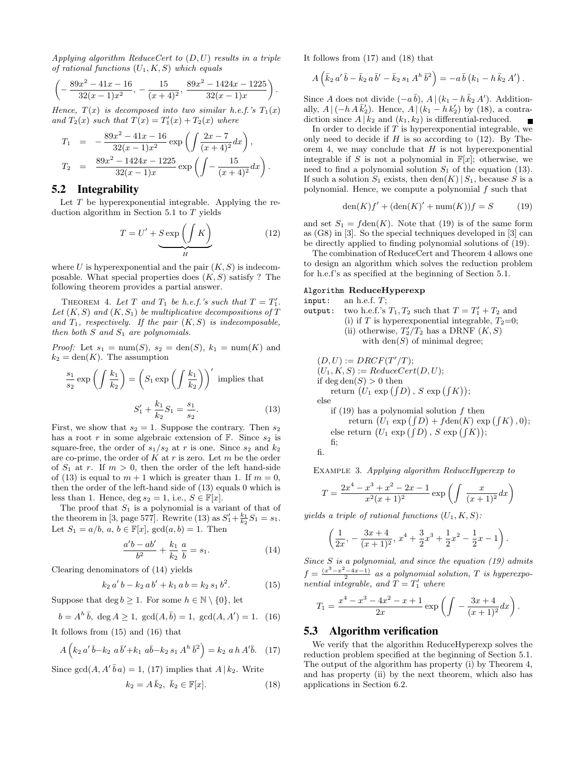Applying algorithm ReduceCert to  $(D, U)$  results in a triple of rational functions  $(U_1, K, S)$  which equals

$$
\left(-\frac{89x^2 - 41x - 16}{32(x - 1)x^2}, -\frac{15}{(x + 4)^2}, \frac{89x^2 - 1424x - 1225}{32(x - 1)x}\right).
$$

Hence,  $T(x)$  is decomposed into two similar h.e.f.'s  $T_1(x)$ and  $T_2(x)$  such that  $T(x) = T_1'(x) + T_2(x)$  where

$$
T_1 = -\frac{89x^2 - 41x - 16}{32(x - 1)x^2} \exp\left(\int \frac{2x - 7}{(x + 4)^2} dx\right),
$$
  
\n
$$
T_2 = \frac{89x^2 - 1424x - 1225}{32(x - 1)x} \exp\left(\int -\frac{15}{(x + 4)^2} dx\right).
$$

# **5.2 Integrability**

Let  $T$  be hyperexponential integrable. Applying the reduction algorithm in Section 5.1 to  $T$  yields

$$
T = U' + \underbrace{S \exp\left(\int K\right)}_{H}
$$
 (12)

where U is hyperexponential and the pair  $(K, S)$  is indecomposable. What special properties does  $(K, S)$  satisfy ? The following theorem provides a partial answer.

THEOREM 4. Let T and  $T_1$  be h.e.f.'s such that  $T = T_1'$ . Let  $(K, S)$  and  $(K, S_1)$  be multiplicative decompositions of T and  $T_1$ , respectively. If the pair  $(K, S)$  is indecomposable, then both  $S$  and  $S_1$  are polynomials.

*Proof:* Let  $s_1 = \text{num}(S)$ ,  $s_2 = \text{den}(S)$ ,  $k_1 = \text{num}(K)$  and  $k_2 = \text{den}(K)$ . The assumption

$$
\frac{s_1}{s_2} \exp\left(\int \frac{k_1}{k_2}\right) = \left(S_1 \exp\left(\int \frac{k_1}{k_2}\right)\right)' \text{ implies that}
$$

$$
S_1' + \frac{k_1}{k_2} S_1 = \frac{s_1}{s_2}.
$$
 (13)

First, we show that  $s_2 = 1$ . Suppose the contrary. Then  $s_2$ has a root r in some algebraic extension of  $\mathbb{F}$ . Since  $s_2$  is square-free, the order of  $s_1/s_2$  at r is one. Since  $s_2$  and  $k_2$ are co-prime, the order of  $K$  at  $r$  is zero. Let  $m$  be the order of  $S_1$  at r. If  $m > 0$ , then the order of the left hand-side of (13) is equal to  $m + 1$  which is greater than 1. If  $m = 0$ , then the order of the left-hand side of (13) equals 0 which is less than 1. Hence, deg  $s_2 = 1$ , i.e.,  $S \in \mathbb{F}[x]$ .

The proof that  $S_1$  is a polynomial is a variant of that of the theorem in [3, page 577]. Rewrite (13) as  $S'_1 + \frac{k_1}{k_2} S_1 = s_1$ . Let  $S_1 = a/b$ ,  $a, b \in \mathbb{F}[x]$ ,  $gcd(a, b) = 1$ . Then

$$
\frac{a'b - ab'}{b^2} + \frac{k_1}{k_2} \frac{a}{b} = s_1.
$$
 (14)

Clearing denominators of (14) yields

$$
k_2 a' b - k_2 a b' + k_1 a b = k_2 s_1 b^2.
$$
 (15)

Suppose that deg  $b \geq 1$ . For some  $h \in \mathbb{N} \setminus \{0\}$ , let

$$
b = Ah \bar{b}, \deg A \ge 1, \gcd(A, \bar{b}) = 1, \gcd(A, A') = 1. \tag{16}
$$

It follows from (15) and (16) that

$$
A\left(k_2 a' \bar{b} - k_2 a \bar{b}' + k_1 a \bar{b} - k_2 s_1 A^h \bar{b}^2\right) = k_2 a h A' \bar{b}.
$$
 (17)

Since  $gcd(A, A' \bar{b} a) = 1$ , (17) implies that  $A | k_2$ . Write

$$
k_2 = A\,\bar{k}_2, \ \bar{k}_2 \in \mathbb{F}[x].\tag{18}
$$

It follows from (17) and (18) that

$$
A\left(\bar{k}_2 a'\,\bar{b}-\bar{k}_2 a\,\bar{b}'-\bar{k}_2 s_1 A^h\,\bar{b}^2\right)=-a\,\bar{b}\left(k_1-h\,\bar{k}_2\,A'\right).
$$

Since A does not divide  $(-a\bar{b})$ , A  $|(k_1 - h\bar{k}_2 A')$ . Additionally,  $A \mid (-h \, A \, \bar{k}'_2)$ . Hence,  $A \mid (k_1 - h \, k'_2)$  by (18), a contradiction since  $A | k_2$  and  $(k_1, k_2)$  is differential-reduced.  $\blacksquare$ 

In order to decide if  $T$  is hyperexponential integrable, we only need to decide if  $H$  is so according to (12). By Theorem 4, we may conclude that  $H$  is not hyperexponential integrable if S is not a polynomial in  $\mathbb{F}[x]$ ; otherwise, we need to find a polynomial solution  $S_1$  of the equation (13). If such a solution  $S_1$  exists, then den(K) |  $S_1$ , because S is a polynomial. Hence, we compute a polynomial  $f$  such that

$$
\text{den}(K)f' + (\text{den}(K)'+\text{num}(K))f = S \tag{19}
$$

and set  $S_1 = fden(K)$ . Note that (19) is of the same form as (G8) in [3]. So the special techniques developed in [3] can be directly applied to finding polynomial solutions of (19).

The combination of ReduceCert and Theorem 4 allows one to design an algorithm which solves the reduction problem for h.e.f's as specified at the beginning of Section 5.1.

#### Algorithm ReduceHyperexp

input: an h.e.f.  $T$ ;

fi.

output: two h.e.f.'s  $T_1, T_2$  such that  $T = T_1' + T_2$  and (i) if T is hyperexponential integrable,  $T_2=0$ ; (ii) otherwise,  $T_2/T_2$  has a DRNF  $(K, S)$ with  $den(S)$  of minimal degree;

$$
(D, U) := DRCF(T'/T);
$$
  
\n
$$
(U_1, K, S) := ReduceCert(D, U);
$$
  
\nif deg den(S) > 0 then  
\nreturn 
$$
(U_1 \exp ( \int D ), S \exp ( \int K ) );
$$
  
\nelse  
\nif (19) has a polynomial solution f then  
\nreturn 
$$
(U_1 \exp ( \int D ) + f \text{den}(K) \exp ( \int K ) ,
$$

 $, 0);$ else return  $(U_1 \exp(\int D), S \exp(\int K));$ fi;

EXAMPLE 3. Applying algorithm ReduceHyperexp to

$$
T = \frac{2x^4 - x^3 + x^2 - 2x - 1}{x^2(x+1)^2} \exp\left(\int \frac{x}{(x+1)^2} dx\right)
$$

yields a triple of rational functions  $(U_1, K, S)$ :

$$
\left(\frac{1}{2x},-\frac{3x+4}{(x+1)^2},\,x^4+\frac{3}{2}x^3+\frac{1}{2}x^2-\frac{1}{2}x-1\right).
$$

Since  $S$  is a polynomial, and since the equation (19) admits  $f = \frac{(x^3 - x^2 - 4x - 1)}{2}$  as a polynomial solution, T is hyperexponential integrable, and  $T = T'_1$  where

$$
T_1 = \frac{x^4 - x^3 - 4x^2 - x + 1}{2x} \exp\left(\int -\frac{3x + 4}{(x+1)^2} dx\right).
$$

#### **5.3 Algorithm verification**

We verify that the algorithm ReduceHyperexp solves the reduction problem specified at the beginning of Section 5.1. The output of the algorithm has property (i) by Theorem 4, and has property (ii) by the next theorem, which also has applications in Section 6.2.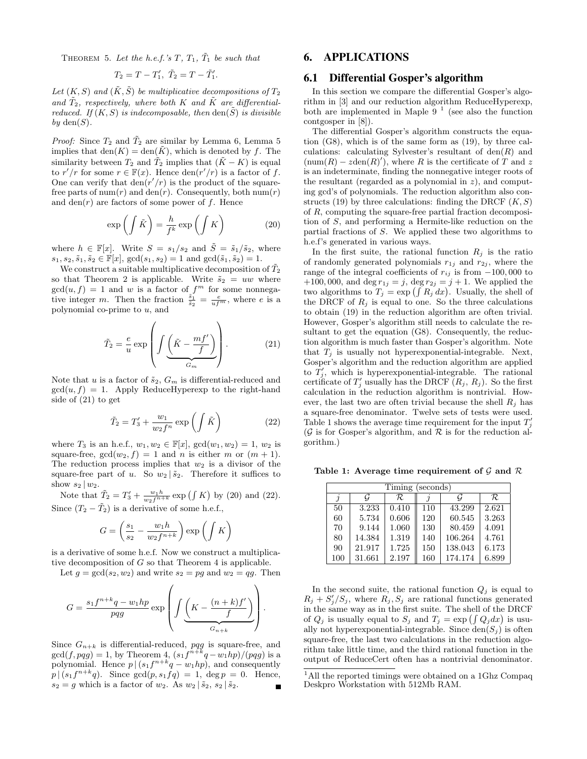THEOREM 5. Let the h.e.f.'s  $T$ ,  $T_1$ ,  $\tilde{T}_1$  be such that

$$
T_2 = T - T_1', \ \tilde{T}_2 = T - \tilde{T}_1'.
$$

Let  $(K, S)$  and  $(\tilde{K}, \tilde{S})$  be multiplicative decompositions of  $T_2$ and  $\tilde{T}_2$ , respectively, where both K and  $\tilde{K}$  are differentialreduced. If  $(K, S)$  is indecomposable, then den $(\tilde{S})$  is divisible by  $den(S)$ .

*Proof:* Since  $T_2$  and  $\tilde{T}_2$  are similar by Lemma 6, Lemma 5 implies that  $den(K) = den(\tilde{K})$ , which is denoted by f. The similarity between  $T_2$  and  $\tilde{T}_2$  implies that  $(\tilde{K} - K)$  is equal to  $r'/r$  for some  $r \in \mathbb{F}(x)$ . Hence  $\text{den}(r'/r)$  is a factor of f. One can verify that  $\text{den}(r'/r)$  is the product of the squarefree parts of num(r) and den(r). Consequently, both num(r) and den( $r$ ) are factors of some power of  $f$ . Hence

$$
\exp\left(\int \tilde{K}\right) = \frac{h}{f^k} \exp\left(\int K\right) \tag{20}
$$

where  $h \in \mathbb{F}[x]$ . Write  $S = s_1/s_2$  and  $\tilde{S} = \tilde{s}_1/\tilde{s}_2$ , where  $s_1, s_2, \tilde{s}_1, \tilde{s}_2 \in \mathbb{F}[x], \gcd(s_1, s_2) = 1 \text{ and } \gcd(\tilde{s}_1, \tilde{s}_2) = 1.$ 

We construct a suitable multiplicative decomposition of  $\tilde{T}_2$ so that Theorem 2 is applicable. Write  $\tilde{s}_2 = uw$  where  $gcd(u, f) = 1$  and w is a factor of  $f<sup>m</sup>$  for some nonnegative integer m. Then the fraction  $\frac{\tilde{s}_1}{\tilde{s}_2} = \frac{e}{uf^m}$ , where e is a polynomial co-prime to  $u$ , and

$$
\tilde{T}_2 = \frac{e}{u} \exp\left( \int \underbrace{\left( \tilde{K} - \frac{mf'}{f} \right)}_{G_m} \right). \tag{21}
$$

Note that u is a factor of  $\tilde{s}_2$ ,  $G_m$  is differential-reduced and  $gcd(u, f) = 1$ . Apply ReduceHyperexp to the right-hand side of (21) to get

$$
\tilde{T}_2 = T_3' + \frac{w_1}{w_2 f^n} \exp\left(\int \tilde{K}\right) \tag{22}
$$

where  $T_3$  is an h.e.f.,  $w_1, w_2 \in \mathbb{F}[x]$ ,  $gcd(w_1, w_2) = 1$ ,  $w_2$  is square-free,  $gcd(w_2, f) = 1$  and *n* is either *m* or  $(m + 1)$ . The reduction process implies that  $w_2$  is a divisor of the square-free part of u. So  $w_2 | \tilde{s}_2$ . Therefore it suffices to show  $s_2 | w_2$ .

Note that  $\tilde{T}_2 = T'_3 + \frac{w_1 h}{w_2 f^{n+k}} \exp(\int K)$  by (20) and (22). Since  $(T_2 - T_2)$  is a derivative of some h.e.f.,

$$
G = \left(\frac{s_1}{s_2} - \frac{w_1 h}{w_2 f^{n+k}}\right) \exp\left(\int K\right)
$$

is a derivative of some h.e.f. Now we construct a multiplicative decomposition of  $G$  so that Theorem 4 is applicable.

Let  $g = \gcd(s_2, w_2)$  and write  $s_2 = pg$  and  $w_2 = qg$ . Then

$$
G = \frac{s_1 f^{n+k} q - w_1 h p}{p q g} \exp\left( \int \underbrace{\left( K - \frac{(n+k) f'}{f} \right)}_{G_{n+k}} \right).
$$

Since  $G_{n+k}$  is differential-reduced, pqg is square-free, and  $gcd(f, p q g) = 1$ , by Theorem 4,  $(s_1 f^{n+k} q - w_1 h p)/(p q g)$  is a polynomial. Hence  $p|(s_1f^{n+k}q-w_1hp)$ , and consequently  $p|(s_1f^{n+k}q)$ . Since  $gcd(p,s_1fq) = 1$ ,  $deg p = 0$ . Hence,  $s_2 = g$  which is a factor of  $w_2$ . As  $w_2 | \tilde{s}_2$ ,  $s_2 | \tilde{s}_2$ .

# **6. APPLICATIONS**

### **6.1 Differential Gosper's algorithm**

In this section we compare the differential Gosper's algorithm in [3] and our reduction algorithm ReduceHyperexp, both are implemented in Maple  $9<sup>1</sup>$  (see also the function contgosper in [8]).

The differential Gosper's algorithm constructs the equation (G8), which is of the same form as (19), by three calculations: calculating Sylvester's resultant of  $den(R)$  and  $(\text{num}(R) - zden(R)')$ , where R is the certificate of T and z is an indeterminate, finding the nonnegative integer roots of the resultant (regarded as a polynomial in  $z$ ), and computing gcd's of polynomials. The reduction algorithm also constructs (19) by three calculations: finding the DRCF  $(K, S)$ of R, computing the square-free partial fraction decomposition of S, and performing a Hermite-like reduction on the partial fractions of S. We applied these two algorithms to h.e.f's generated in various ways.

In the first suite, the rational function  $R_j$  is the ratio of randomly generated polynomials  $r_{1j}$  and  $r_{2j}$ , where the range of the integral coefficients of  $r_{ij}$  is from  $-100,000$  to +100,000, and deg  $r_{1j} = j$ , deg  $r_{2j} = j + 1$ . We applied the two algorithms to  $T_j = \exp\left(\int R_j dx\right)$ . Usually, the shell of the DRCF of  $R_j$  is equal to one. So the three calculations to obtain (19) in the reduction algorithm are often trivial. However, Gosper's algorithm still needs to calculate the resultant to get the equation (G8). Consequently, the reduction algorithm is much faster than Gosper's algorithm. Note that  $T_j$  is usually not hyperexponential-integrable. Next, Gosper's algorithm and the reduction algorithm are applied to  $\hat{T}_j'$ , which is hyperexponential-integrable. The rational certificate of  $T'_j$  usually has the DRCF  $(R_j, R_j)$ . So the first calculation in the reduction algorithm is nontrivial. However, the last two are often trivial because the shell  $R_i$  has a square-free denominator. Twelve sets of tests were used. Table 1 shows the average time requirement for the input  $T'_j$  $(\mathcal{G}% _{i},\mathcal{G}_{i})$  is for Gosper's algorithm, and  $\mathcal{R}$  is for the reduction algorithm.)

Table 1: Average time requirement of  $\mathcal G$  and  $\mathcal R$ 

| Timing (seconds) |        |       |     |         |       |  |  |  |
|------------------|--------|-------|-----|---------|-------|--|--|--|
|                  | G      | R.    |     | G       | R.    |  |  |  |
| 50               | 3.233  | 0.410 | 110 | 43.299  | 2.621 |  |  |  |
| 60               | 5.734  | 0.606 | 120 | 60.545  | 3.263 |  |  |  |
| 70               | 9.144  | 1.060 | 130 | 80.459  | 4.091 |  |  |  |
| 80               | 14.384 | 1.319 | 140 | 106.264 | 4.761 |  |  |  |
| 90               | 21.917 | 1.725 | 150 | 138.043 | 6.173 |  |  |  |
| 100              | 31.661 | 2.197 | 160 | 174.174 | 6.899 |  |  |  |

In the second suite, the rational function  $Q_j$  is equal to  $R_j + S'_j/S_j$ , where  $R_j, S_j$  are rational functions generated in the same way as in the first suite. The shell of the DRCF of  $Q_j$  is usually equal to  $S_j$  and  $T_j = \exp\left(\int Q_j dx\right)$  is usually not hyperexponential-integrable. Since  $den(S_i)$  is often square-free, the last two calculations in the reduction algorithm take little time, and the third rational function in the output of ReduceCert often has a nontrivial denominator.

<sup>&</sup>lt;sup>1</sup>All the reported timings were obtained on a 1Ghz Compaq Deskpro Workstation with 512Mb RAM.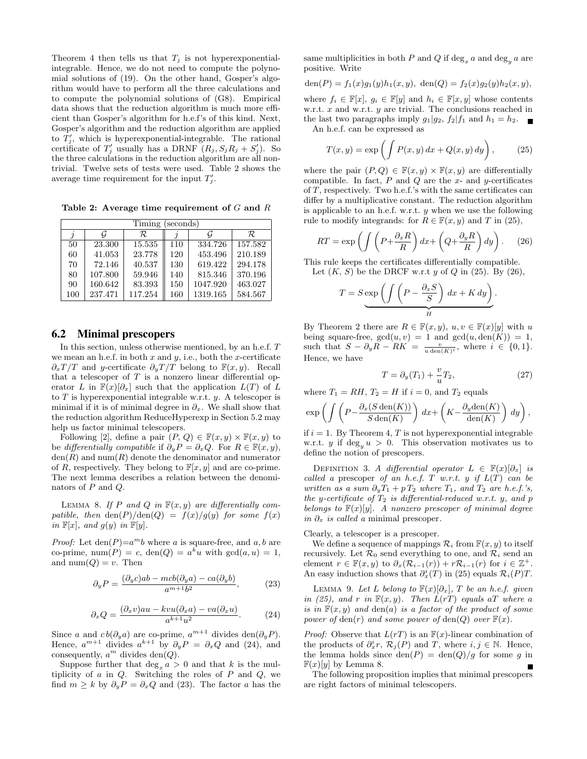Theorem 4 then tells us that  $T_i$  is not hyperexponentialintegrable. Hence, we do not need to compute the polynomial solutions of (19). On the other hand, Gosper's algorithm would have to perform all the three calculations and to compute the polynomial solutions of (G8). Empirical data shows that the reduction algorithm is much more efficient than Gosper's algorithm for h.e.f's of this kind. Next, Gosper's algorithm and the reduction algorithm are applied to  $T'_j$ , which is hyperexponential-integrable. The rational certificate of  $T'_j$  usually has a DRNF  $(R_j, S_j R_j + S'_j)$ . So the three calculations in the reduction algorithm are all nontrivial. Twelve sets of tests were used. Table 2 shows the average time requirement for the input  $T'_j$ .

Table 2: Average time requirement of  $G$  and  $R$ 

| Timing<br>(seconds) |         |         |     |          |         |  |  |  |
|---------------------|---------|---------|-----|----------|---------|--|--|--|
|                     |         | R.      |     |          | R.      |  |  |  |
| 50                  | 23.300  | 15.535  | 110 | 334.726  | 157.582 |  |  |  |
| 60                  | 41.053  | 23.778  | 120 | 453.496  | 210.189 |  |  |  |
| 70                  | 72.146  | 40.537  | 130 | 619.422  | 294.178 |  |  |  |
| 80                  | 107.800 | 59.946  | 140 | 815.346  | 370.196 |  |  |  |
| 90                  | 160.642 | 83.393  | 150 | 1047.920 | 463.027 |  |  |  |
| 100                 | 237.471 | 117.254 | 160 | 1319.165 | 584.567 |  |  |  |

### **6.2 Minimal prescopers**

In this section, unless otherwise mentioned, by an h.e.f. T we mean an h.e.f. in both  $x$  and  $y$ , i.e., both the  $x$ -certificate  $\partial_x T/T$  and y-certificate  $\partial_y T/T$  belong to  $\mathbb{F}(x, y)$ . Recall that a telescoper of  $T$  is a nonzero linear differential operator L in  $\mathbb{F}(x)[\partial_x]$  such that the application  $L(T)$  of L to  $T$  is hyperexponential integrable w.r.t.  $y$ . A telescoper is minimal if it is of minimal degree in  $\partial_x$ . We shall show that the reduction algorithm ReduceHyperexp in Section 5.2 may help us factor minimal telescopers.

Following [2], define a pair  $(P, Q) \in \mathbb{F}(x, y) \times \mathbb{F}(x, y)$  to be differentially compatible if  $\partial_y P = \partial_x Q$ . For  $R \in \mathbb{F}(x, y)$ ,  $den(R)$  and  $num(R)$  denote the denominator and numerator of R, respectively. They belong to  $\mathbb{F}[x, y]$  and are co-prime. The next lemma describes a relation between the denominators of P and Q.

LEMMA 8. If P and Q in  $F(x, y)$  are differentially compatible, then  $\text{den}(P)/\text{den}(Q) = f(x)/g(y)$  for some  $f(x)$ in  $\mathbb{F}[x]$ , and  $g(y)$  in  $\mathbb{F}[y]$ .

*Proof:* Let  $den(P)=a^m b$  where a is square-free, and a, b are co-prime,  $\text{num}(P) = c$ ,  $\text{den}(Q) = a^k u$  with  $\gcd(a, u) = 1$ , and  $num(Q) = v$ . Then

$$
\partial_y P = \frac{(\partial_y c)ab - mcb(\partial_y a) - ca(\partial_y b)}{a^{m+1}b^2},\tag{23}
$$

$$
\partial_x Q = \frac{(\partial_x v)au - kvu(\partial_x a) - va(\partial_x u)}{a^{k+1}u^2}.
$$
 (24)

Since a and  $cb(\partial_y a)$  are co-prime,  $a^{m+1}$  divides  $den(\partial_y P)$ . Hence,  $a^{m+1}$  divides  $a^{k+1}$  by  $\partial_y P = \partial_x Q$  and (24), and consequently,  $a^m$  divides den(Q).

Suppose further that  $\deg_x a > 0$  and that k is the multiplicity of  $a$  in  $Q$ . Switching the roles of  $P$  and  $Q$ , we find  $m \geq k$  by  $\partial_y P = \partial_x Q$  and (23). The factor a has the same multiplicities in both P and Q if  $\deg_x a$  and  $\deg_y a$  are positive. Write

$$
\text{den}(P) = f_1(x)g_1(y)h_1(x, y), \ \text{den}(Q) = f_2(x)g_2(y)h_2(x, y),
$$

where  $f_i \in \mathbb{F}[x]$ ,  $g_i \in \mathbb{F}[y]$  and  $h_i \in \mathbb{F}[x, y]$  whose contents w.r.t.  $x$  and w.r.t.  $y$  are trivial. The conclusions reached in the last two paragraphs imply  $g_1|g_2$ ,  $f_2|f_1$  and  $h_1 = h_2$ . An h.e.f. can be expressed as

$$
T(x,y) = \exp\left(\int P(x,y) dx + Q(x,y) dy\right),\tag{25}
$$

where the pair  $(P,Q) \in \mathbb{F}(x,y) \times \mathbb{F}(x,y)$  are differentially compatible. In fact,  $P$  and  $Q$  are the  $x$ - and  $y$ -certificates of T, respectively. Two h.e.f.'s with the same certificates can differ by a multiplicative constant. The reduction algorithm is applicable to an h.e.f. w.r.t.  $y$  when we use the following rule to modify integrands: for  $R \in \mathbb{F}(x, y)$  and T in (25),

$$
RT = \exp\left(\int \left(P + \frac{\partial_x R}{R}\right) dx + \left(Q + \frac{\partial_y R}{R}\right) dy\right). \tag{26}
$$

This rule keeps the certificates differentially compatible.

Let 
$$
(K, S)
$$
 be the DRCF w.r.t y of Q in (25). By (26),

$$
T = S \underbrace{\exp \left( \int \left( P - \frac{\partial_x S}{S} \right) dx + K dy \right)}_{H}.
$$

By Theorem 2 there are  $R \in \mathbb{F}(x, y)$ ,  $u, v \in \mathbb{F}(x)[y]$  with u being square-free,  $gcd(u, v) = 1$  and  $gcd(u, den(K)) = 1$ , such that  $S - \partial_y R - RK = \frac{v}{u \text{ den}(K)^i}$ , where  $i \in \{0, 1\}.$ Hence, we have

$$
T = \partial_y(T_1) + \frac{v}{u}T_2,\tag{27}
$$

where  $T_1 = RH$ ,  $T_2 = H$  if  $i = 0$ , and  $T_2$  equals

$$
\exp\left(\int \left(P - \frac{\partial_x (S \operatorname{den}(K))}{S \operatorname{den}(K)}\right) dx + \left(K - \frac{\partial_y \operatorname{den}(K)}{\operatorname{den}(K)}\right) dy\right),
$$

if  $i = 1$ . By Theorem 4, T is not hyperexponential integrable w.r.t. y if  $\deg_u u > 0$ . This observation motivates us to define the notion of prescopers.

DEFINITION 3. A differential operator  $L \in \mathbb{F}(x)[\partial_x]$  is called a prescoper of an h.e.f. T w.r.t. y if  $L(T)$  can be written as a sum  $\partial_y T_1 + p T_2$  where  $T_1$ , and  $T_2$  are h.e.f.'s, the y-certificate of  $T_2$  is differential-reduced w.r.t. y, and p belongs to  $\mathbb{F}(x)[y]$ . A nonzero prescoper of minimal degree in  $\partial_x$  is called a minimal prescoper.

Clearly, a telescoper is a prescoper.

We define a sequence of mappings  $\mathcal{R}_i$  from  $\mathbb{F}(x, y)$  to itself recursively. Let  $\mathcal{R}_0$  send everything to one, and  $\mathcal{R}_i$  send an element  $r \in \mathbb{F}(x, y)$  to  $\partial_x(\mathcal{R}_{i-1}(r)) + r\mathcal{R}_{i-1}(r)$  for  $i \in \mathbb{Z}^+$ . An easy induction shows that  $\partial_x^i(T)$  in (25) equals  $\mathcal{R}_i(P)T$ .

LEMMA 9. Let L belong to  $\mathbb{F}(x)[\partial_x]$ , T be an h.e.f. given in (25), and r in  $F(x, y)$ . Then  $L(rT)$  equals aT where a is in  $\mathbb{F}(x, y)$  and  $den(a)$  is a factor of the product of some power of den(r) and some power of den(Q) over  $\mathbb{F}(x)$ .

*Proof:* Observe that  $L(rT)$  is an  $F(x)$ -linear combination of the products of  $\partial_x^i r$ ,  $\mathcal{R}_j(P)$  and T, where  $i, j \in \mathbb{N}$ . Hence, the lemma holds since  $den(P) = den(Q)/g$  for some g in  $\mathbb{F}(x)[y]$  by Lemma 8.

The following proposition implies that minimal prescopers are right factors of minimal telescopers.